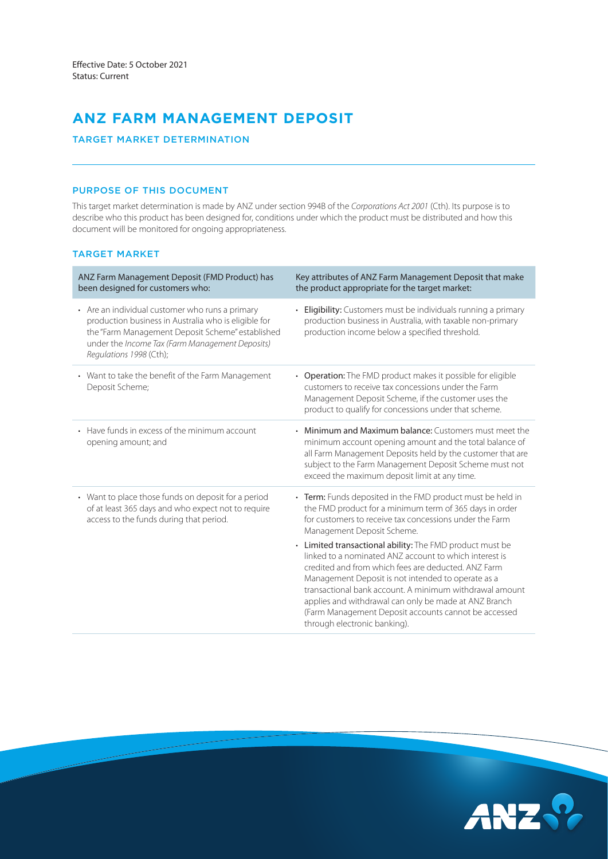# **ANZ FARM MANAGEMENT DEPOSIT**

## TARGET MARKET DETERMINATION

# PURPOSE OF THIS DOCUMENT

This target market determination is made by ANZ under section 994B of the *Corporations Act 2001* (Cth). Its purpose is to describe who this product has been designed for, conditions under which the product must be distributed and how this document will be monitored for ongoing appropriateness.

## TARGET MARKET

| ANZ Farm Management Deposit (FMD Product) has<br>been designed for customers who:                                                                                                                                                         | Key attributes of ANZ Farm Management Deposit that make<br>the product appropriate for the target market:                                                                                                                                                                                                                                                                                                                                                                                                                                                                                                                                                     |
|-------------------------------------------------------------------------------------------------------------------------------------------------------------------------------------------------------------------------------------------|---------------------------------------------------------------------------------------------------------------------------------------------------------------------------------------------------------------------------------------------------------------------------------------------------------------------------------------------------------------------------------------------------------------------------------------------------------------------------------------------------------------------------------------------------------------------------------------------------------------------------------------------------------------|
| • Are an individual customer who runs a primary<br>production business in Australia who is eligible for<br>the "Farm Management Deposit Scheme" established<br>under the Income Tax (Farm Management Deposits)<br>Regulations 1998 (Cth); | Eligibility: Customers must be individuals running a primary<br>production business in Australia, with taxable non-primary<br>production income below a specified threshold.                                                                                                                                                                                                                                                                                                                                                                                                                                                                                  |
| • Want to take the benefit of the Farm Management<br>Deposit Scheme;                                                                                                                                                                      | • Operation: The FMD product makes it possible for eligible<br>customers to receive tax concessions under the Farm<br>Management Deposit Scheme, if the customer uses the<br>product to qualify for concessions under that scheme.                                                                                                                                                                                                                                                                                                                                                                                                                            |
| • Have funds in excess of the minimum account<br>opening amount; and                                                                                                                                                                      | • Minimum and Maximum balance: Customers must meet the<br>minimum account opening amount and the total balance of<br>all Farm Management Deposits held by the customer that are<br>subject to the Farm Management Deposit Scheme must not<br>exceed the maximum deposit limit at any time.                                                                                                                                                                                                                                                                                                                                                                    |
| • Want to place those funds on deposit for a period<br>of at least 365 days and who expect not to require<br>access to the funds during that period.                                                                                      | • Term: Funds deposited in the FMD product must be held in<br>the FMD product for a minimum term of 365 days in order<br>for customers to receive tax concessions under the Farm<br>Management Deposit Scheme.<br>• Limited transactional ability: The FMD product must be<br>linked to a nominated ANZ account to which interest is<br>credited and from which fees are deducted. ANZ Farm<br>Management Deposit is not intended to operate as a<br>transactional bank account. A minimum withdrawal amount<br>applies and withdrawal can only be made at ANZ Branch<br>(Farm Management Deposit accounts cannot be accessed<br>through electronic banking). |

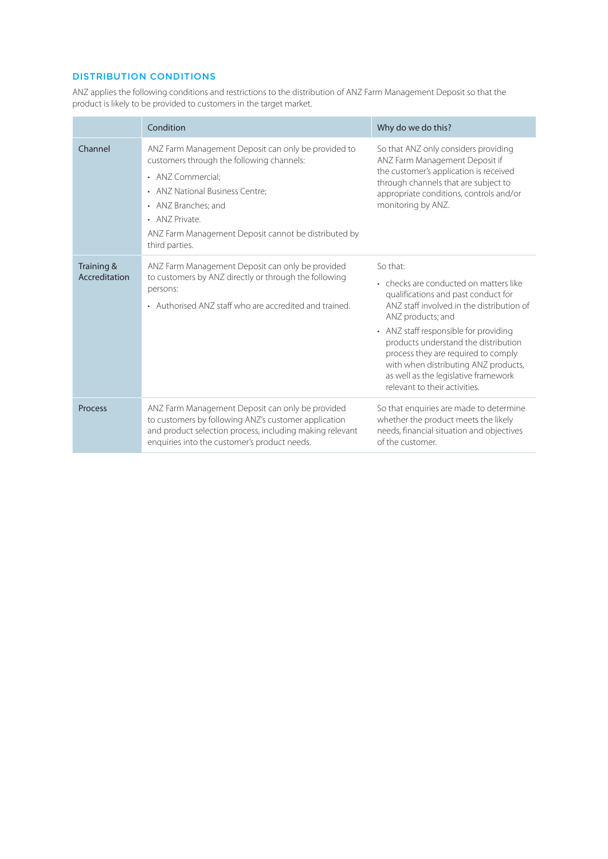# DISTRIBUTION CONDITIONS

ANZ applies the following conditions and restrictions to the distribution of ANZ Farm Management Deposit so that the product is likely to be provided to customers in the target market.

|                             | Condition                                                                                                                                                                                                                                                                   | Why do we do this?                                                                                                                                                                                                                                                                                                                                                                                   |
|-----------------------------|-----------------------------------------------------------------------------------------------------------------------------------------------------------------------------------------------------------------------------------------------------------------------------|------------------------------------------------------------------------------------------------------------------------------------------------------------------------------------------------------------------------------------------------------------------------------------------------------------------------------------------------------------------------------------------------------|
| Channel                     | ANZ Farm Management Deposit can only be provided to<br>customers through the following channels:<br>• ANZ Commercial:<br>• ANZ National Business Centre;<br>• ANZ Branches; and<br>• ANZ Private.<br>ANZ Farm Management Deposit cannot be distributed by<br>third parties. | So that ANZ only considers providing<br>ANZ Farm Management Deposit if<br>the customer's application is received<br>through channels that are subject to<br>appropriate conditions, controls and/or<br>monitoring by ANZ.                                                                                                                                                                            |
| Training &<br>Accreditation | ANZ Farm Management Deposit can only be provided<br>to customers by ANZ directly or through the following<br>persons:<br>• Authorised ANZ staff who are accredited and trained.                                                                                             | So that:<br>• checks are conducted on matters like<br>qualifications and past conduct for<br>ANZ staff involved in the distribution of<br>ANZ products; and<br>• ANZ staff responsible for providing<br>products understand the distribution<br>process they are required to comply<br>with when distributing ANZ products,<br>as well as the legislative framework<br>relevant to their activities. |
| <b>Process</b>              | ANZ Farm Management Deposit can only be provided<br>to customers by following ANZ's customer application<br>and product selection process, including making relevant<br>enquiries into the customer's product needs.                                                        | So that enquiries are made to determine<br>whether the product meets the likely<br>needs, financial situation and objectives<br>of the customer.                                                                                                                                                                                                                                                     |